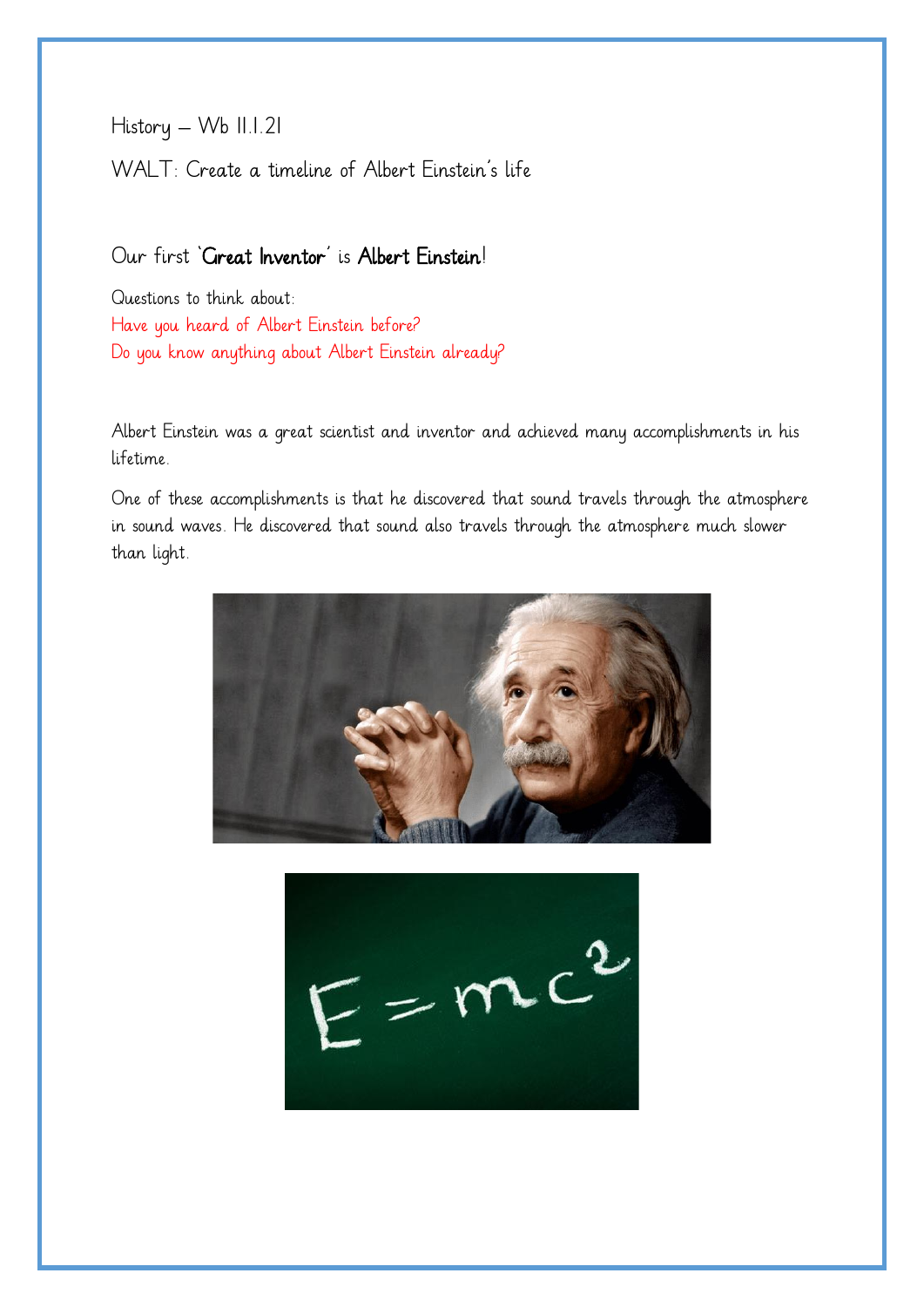History – Wb 11.1.21

WALT: Create a timeline of Albert Einstein's life

## Our first 'Great Inventor' is Albert Einstein!

Questions to think about: Have you heard of Albert Einstein before? Do you know anything about Albert Einstein already?

Albert Einstein was a great scientist and inventor and achieved many accomplishments in his lifetime.

One of these accomplishments is that he discovered that sound travels through the atmosphere in sound waves. He discovered that sound also travels through the atmosphere much slower than light.



 $E = mc^2$